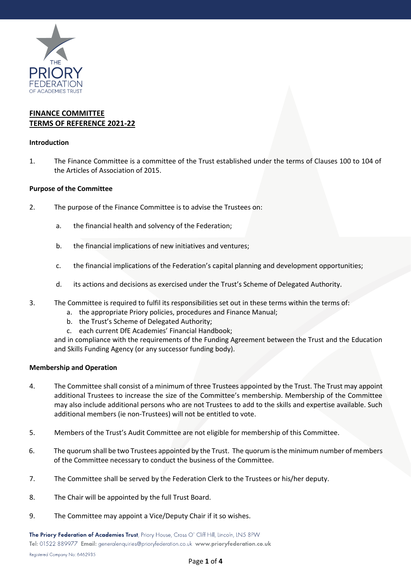

# **FINANCE COMMITTEE TERMS OF REFERENCE 2021-22**

## **Introduction**

1. The Finance Committee is a committee of the Trust established under the terms of Clauses 100 to 104 of the Articles of Association of 2015.

## **Purpose of the Committee**

- 2. The purpose of the Finance Committee is to advise the Trustees on:
	- a. the financial health and solvency of the Federation;
	- b. the financial implications of new initiatives and ventures;
	- c. the financial implications of the Federation's capital planning and development opportunities;
	- d. its actions and decisions as exercised under the Trust's Scheme of Delegated Authority.
- 3. The Committee is required to fulfil its responsibilities set out in these terms within the terms of:
	- a. the appropriate Priory policies, procedures and Finance Manual;
	- b. the Trust's Scheme of Delegated Authority;
	- c. each current DfE Academies' Financial Handbook;

and in compliance with the requirements of the Funding Agreement between the Trust and the Education and Skills Funding Agency (or any successor funding body).

#### **Membership and Operation**

- 4. The Committee shall consist of a minimum of three Trustees appointed by the Trust. The Trust may appoint additional Trustees to increase the size of the Committee's membership. Membership of the Committee may also include additional persons who are not Trustees to add to the skills and expertise available. Such additional members (ie non-Trustees) will not be entitled to vote.
- 5. Members of the Trust's Audit Committee are not eligible for membership of this Committee.
- 6. The quorum shall be two Trustees appointed by the Trust. The quorum is the minimum number of members of the Committee necessary to conduct the business of the Committee.
- 7. The Committee shall be served by the Federation Clerk to the Trustees or his/her deputy.
- 8. The Chair will be appointed by the full Trust Board.
- 9. The Committee may appoint a Vice/Deputy Chair if it so wishes.

The Priory Federation of Academies Trust, Priory House, Cross O' Cliff Hill, Lincoln, LN5 8PW Tel: 01522 889977 Email: generalenquiries@prioryfederation.co.uk www.prioryfederation.co.uk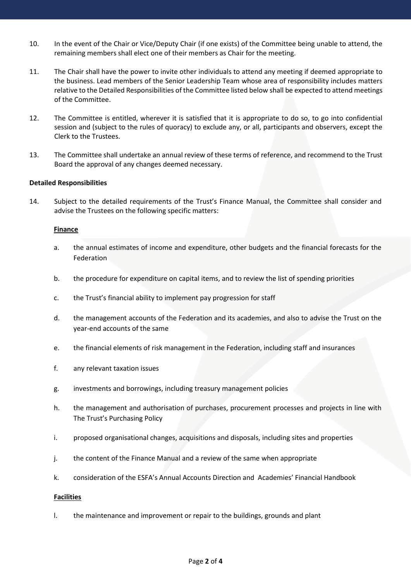- 10. In the event of the Chair or Vice/Deputy Chair (if one exists) of the Committee being unable to attend, the remaining members shall elect one of their members as Chair for the meeting.
- 11. The Chair shall have the power to invite other individuals to attend any meeting if deemed appropriate to the business. Lead members of the Senior Leadership Team whose area of responsibility includes matters relative to the Detailed Responsibilities of the Committee listed below shall be expected to attend meetings of the Committee.
- 12. The Committee is entitled, wherever it is satisfied that it is appropriate to do so, to go into confidential session and (subject to the rules of quoracy) to exclude any, or all, participants and observers, except the Clerk to the Trustees.
- 13. The Committee shall undertake an annual review of these terms of reference, and recommend to the Trust Board the approval of any changes deemed necessary.

## **Detailed Responsibilities**

14. Subject to the detailed requirements of the Trust's Finance Manual, the Committee shall consider and advise the Trustees on the following specific matters:

#### **Finance**

- a. the annual estimates of income and expenditure, other budgets and the financial forecasts for the Federation
- b. the procedure for expenditure on capital items, and to review the list of spending priorities
- c. the Trust's financial ability to implement pay progression for staff
- d. the management accounts of the Federation and its academies, and also to advise the Trust on the year-end accounts of the same
- e. the financial elements of risk management in the Federation, including staff and insurances
- f. any relevant taxation issues
- g. investments and borrowings, including treasury management policies
- h. the management and authorisation of purchases, procurement processes and projects in line with The Trust's Purchasing Policy
- i. proposed organisational changes, acquisitions and disposals, including sites and properties
- j. the content of the Finance Manual and a review of the same when appropriate
- k. consideration of the ESFA's Annual Accounts Direction and Academies' Financial Handbook

#### **Facilities**

l. the maintenance and improvement or repair to the buildings, grounds and plant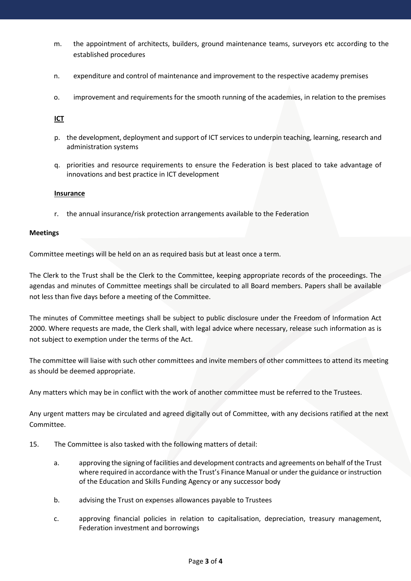- m. the appointment of architects, builders, ground maintenance teams, surveyors etc according to the established procedures
- n. expenditure and control of maintenance and improvement to the respective academy premises
- o. improvement and requirements for the smooth running of the academies, in relation to the premises

**ICT**

- p. the development, deployment and support of ICT services to underpin teaching, learning, research and administration systems
- q. priorities and resource requirements to ensure the Federation is best placed to take advantage of innovations and best practice in ICT development

#### **Insurance**

r. the annual insurance/risk protection arrangements available to the Federation

#### **Meetings**

Committee meetings will be held on an as required basis but at least once a term.

The Clerk to the Trust shall be the Clerk to the Committee, keeping appropriate records of the proceedings. The agendas and minutes of Committee meetings shall be circulated to all Board members. Papers shall be available not less than five days before a meeting of the Committee.

The minutes of Committee meetings shall be subject to public disclosure under the Freedom of Information Act 2000. Where requests are made, the Clerk shall, with legal advice where necessary, release such information as is not subject to exemption under the terms of the Act.

The committee will liaise with such other committees and invite members of other committees to attend its meeting as should be deemed appropriate.

Any matters which may be in conflict with the work of another committee must be referred to the Trustees.

Any urgent matters may be circulated and agreed digitally out of Committee, with any decisions ratified at the next Committee.

- 15. The Committee is also tasked with the following matters of detail:
	- a. approving the signing of facilities and development contracts and agreements on behalf of the Trust where required in accordance with the Trust's Finance Manual or under the guidance or instruction of the Education and Skills Funding Agency or any successor body
	- b. advising the Trust on expenses allowances payable to Trustees
	- c. approving financial policies in relation to capitalisation, depreciation, treasury management, Federation investment and borrowings